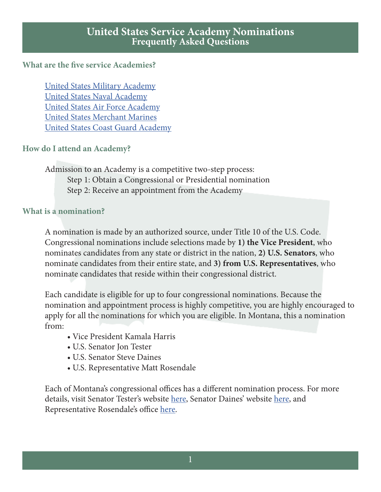#### **What are the five service Academies?**

United States Military Academy United States Naval Academy United States Air Force Academy United States Merchant Marines United States Coast Guard Academy

#### **How do I attend an Academy?**

Admission to an Academy is a competitive two-step process: Step 1: Obtain a Congressional or Presidential nomination Step 2: Receive an appointment from the Academy

#### **What is a nomination?**

A nomination is made by an authorized source, under Title 10 of the U.S. Code. Congressional nominations include selections made by **1) the Vice President**, who nominates candidates from any state or district in the nation, **2) U.S. Senators**, who nominate candidates from their entire state, and **3) from U.S. Representatives**, who nominate candidates that reside within their congressional district.

Each candidate is eligible for up to four congressional nominations. Because the nomination and appointment process is highly competitive, you are highly encouraged to apply for all the nominations for which you are eligible. In Montana, this a nomination from:

- Vice President Kamala Harris
- U.S. Senator Jon Tester
- U.S. Senator Steve Daines
- U.S. Representative Matt Rosendale

Each of Montana's congressional offices has a different nomination process. For more details, visit Senator Tester's website here, Senator Daines' website here, and Representative Rosendale's office here.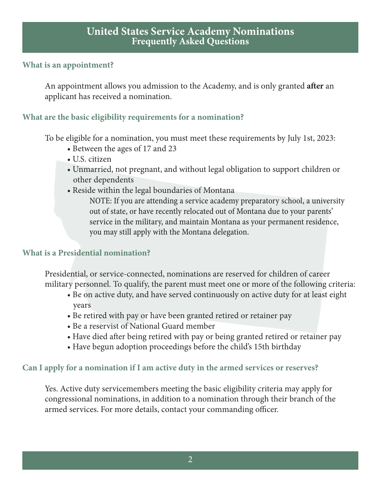#### **What is an appointment?**

An appointment allows you admission to the Academy, and is only granted **after** an applicant has received a nomination.

# **What are the basic eligibility requirements for a nomination?**

To be eligible for a nomination, you must meet these requirements by July 1st, 2023:

- Between the ages of 17 and 23
- U.S. citizen
- Unmarried, not pregnant, and without legal obligation to support children or other dependents
- Reside within the legal boundaries of Montana

 NOTE: If you are attending a service academy preparatory school, a university out of state, or have recently relocated out of Montana due to your parents' service in the military, and maintain Montana as your permanent residence, you may still apply with the Montana delegation.

## **What is a Presidential nomination?**

Presidential, or service-connected, nominations are reserved for children of career military personnel. To qualify, the parent must meet one or more of the following criteria:

- Be on active duty, and have served continuously on active duty for at least eight years
- Be retired with pay or have been granted retired or retainer pay
- Be a reservist of National Guard member
- Have died after being retired with pay or being granted retired or retainer pay
- Have begun adoption proceedings before the child's 15th birthday

## **Can I apply for a nomination if I am active duty in the armed services or reserves?**

Yes. Active duty servicemembers meeting the basic eligibility criteria may apply for congressional nominations, in addition to a nomination through their branch of the armed services. For more details, contact your commanding officer.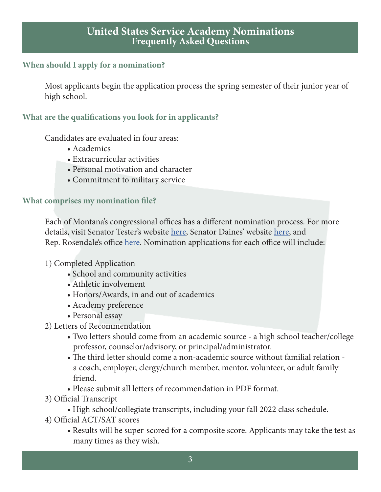#### **When should I apply for a nomination?**

Most applicants begin the application process the spring semester of their junior year of high school.

#### **What are the qualifications you look for in applicants?**

Candidates are evaluated in four areas:

- Academics
- Extracurricular activities
- Personal motivation and character
- Commitment to military service

#### **What comprises my nomination file?**

Each of Montana's congressional offices has a different nomination process. For more details, visit Senator Tester's website here, Senator Daines' website here, and Rep. Rosendale's office here. Nomination applications for each office will include:

- 1) Completed Application
	- School and community activities
	- Athletic involvement
	- Honors/Awards, in and out of academics
	- Academy preference
	- Personal essay
- 2) Letters of Recommendation
	- Two letters should come from an academic source a high school teacher/college professor, counselor/advisory, or principal/administrator.
	- The third letter should come a non-academic source without familial relation a coach, employer, clergy/church member, mentor, volunteer, or adult family friend.
	- Please submit all letters of recommendation in PDF format.
- 3) Official Transcript
	- High school/collegiate transcripts, including your fall 2022 class schedule.
- 4) Official ACT/SAT scores
	- Results will be super-scored for a composite score. Applicants may take the test as many times as they wish.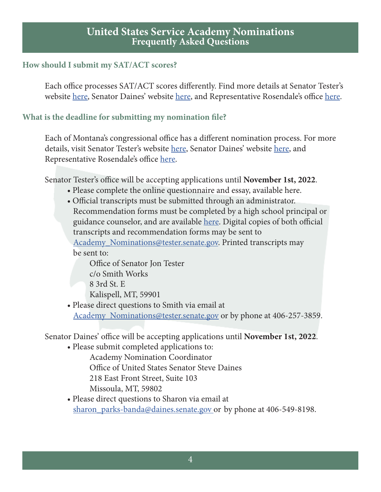#### **How should I submit my SAT/ACT scores?**

Each office processes SAT/ACT scores differently. Find more details at Senator Tester's website here, Senator Daines' website here, and Representative Rosendale's office here.

## **What is the deadline for submitting my nomination file?**

Each of Montana's congressional office has a different nomination process. For more details, visit Senator Tester's website here, Senator Daines' website here, and Representative Rosendale's office here.

Senator Tester's office will be accepting applications until **November 1st, 2022**.

- Please complete the online questionnaire and essay, available here.
- Official transcripts must be submitted through an administrator. Recommendation forms must be completed by a high school principal or guidance counselor, and are available here. Digital copies of both official transcripts and recommendation forms may be sent to Academy\_Nominations@tester.senate.gov. Printed transcripts may be sent to:

 Office of Senator Jon Tester c/o Smith Works 8 3rd St. E Kalispell, MT, 59901

 • Please direct questions to Smith via email at Academy Nominations@tester.senate.gov or by phone at 406-257-3859.

Senator Daines' office will be accepting applications until **November 1st, 2022**.

• Please submit completed applications to:

Academy Nomination Coordinator

Office of United States Senator Steve Daines

218 East Front Street, Suite 103

Missoula, MT, 59802

 • Please direct questions to Sharon via email at sharon\_parks-banda@daines.senate.gov or by phone at 406-549-8198.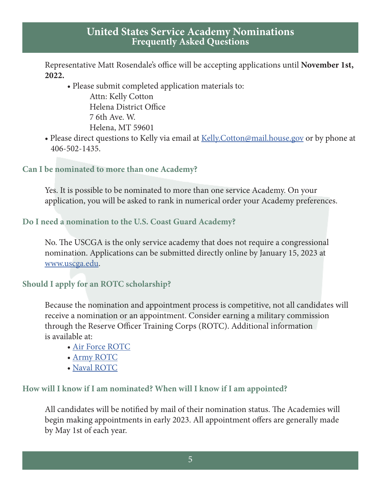Representative Matt Rosendale's office will be accepting applications until **November 1st, 2022.**

• Please submit completed application materials to:

 Attn: Kelly Cotton Helena District Office 7 6th Ave. W. Helena, MT 59601

• Please direct questions to Kelly via email at Kelly. Cotton@mail.house.gov or by phone at 406-502-1435.

# **Can I be nominated to more than one Academy?**

Yes. It is possible to be nominated to more than one service Academy. On your application, you will be asked to rank in numerical order your Academy preferences.

## **Do I need a nomination to the U.S. Coast Guard Academy?**

No. The USCGA is the only service academy that does not require a congressional nomination. Applications can be submitted directly online by January 15, 2023 at www.uscga.edu.

## **Should I apply for an ROTC scholarship?**

Because the nomination and appointment process is competitive, not all candidates will receive a nomination or an appointment. Consider earning a military commission through the Reserve Officer Training Corps (ROTC). Additional information is available at:

- Air Force ROTC
- Army ROTC
- Naval ROTC

# **How will I know if I am nominated? When will I know if I am appointed?**

All candidates will be notified by mail of their nomination status. The Academies will begin making appointments in early 2023. All appointment offers are generally made by May 1st of each year.